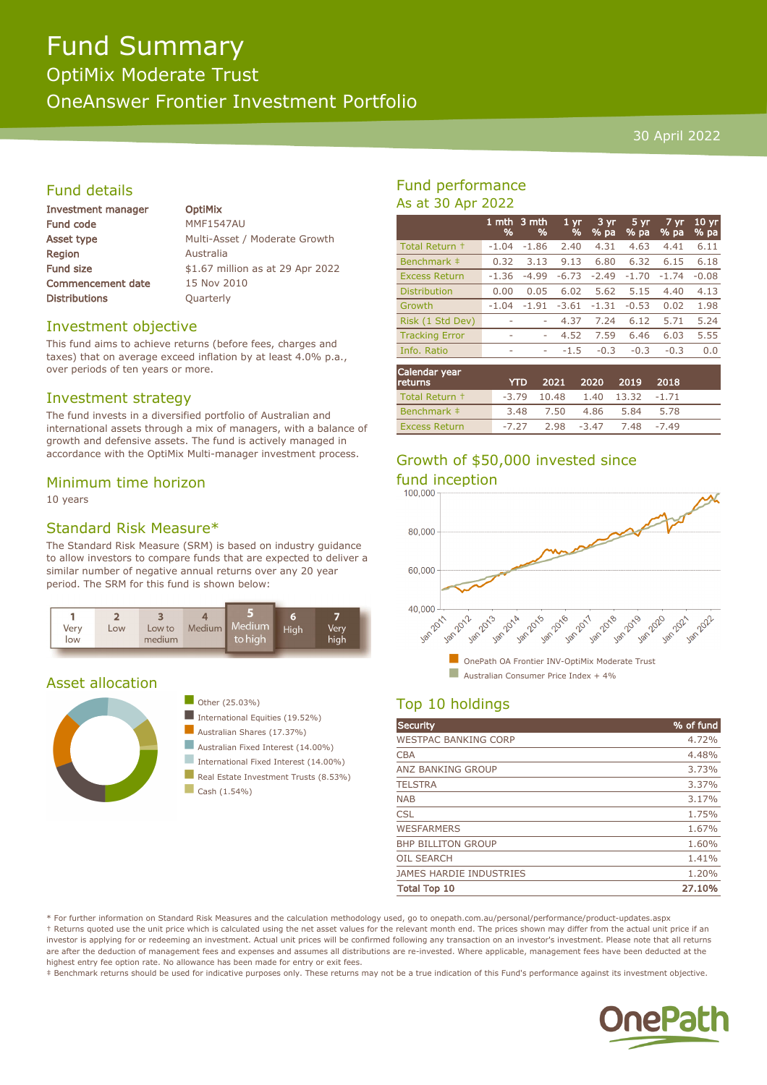# Fund Summary

OptiMix Moderate Trust

OneAnswer Frontier Investment Portfolio

#### 30 April 2022

#### Fund details

| Investment manager       | <b>OptiMix</b>                   |
|--------------------------|----------------------------------|
| Fund code                | <b>MMF1547AU</b>                 |
| Asset type               | Multi-Asset / Moderate Growth    |
| <b>Region</b>            | Australia                        |
| <b>Fund size</b>         | \$1.67 million as at 29 Apr 2022 |
| <b>Commencement date</b> | 15 Nov 2010                      |
| <b>Distributions</b>     | Quarterly                        |
|                          |                                  |

#### Investment objective

This fund aims to achieve returns (before fees, charges and taxes) that on average exceed inflation by at least 4.0% p.a., over periods of ten years or more.

#### Investment strategy

The fund invests in a diversified portfolio of Australian and international assets through a mix of managers, with a balance of growth and defensive assets. The fund is actively managed in accordance with the OptiMix Multi-manager investment process.

#### Minimum time horizon

10 years

#### Standard Risk Measure\*

The Standard Risk Measure (SRM) is based on industry guidance to allow investors to compare funds that are expected to deliver a similar number of negative annual returns over any 20 year period. The SRM for this fund is shown below:



#### Asset allocation





- International Equities (19.52%)
- Australian Shares (17.37%)
- Australian Fixed Interest (14.00%)
	- International Fixed Interest (14.00%)
- Real Estate Investment Trusts (8.53%)
- $\Box$  Cash (1.54%)

#### Fund performance As at 30 Apr 2022

|                       | 1 mth<br>% | 3 mth<br>% | 1 <sub>yr</sub><br>% | $3 \, yr$<br>% pa | 5 yr<br>$%p$ a | 7 yr<br>% pa | $10 \text{ yr}$<br>% pa |
|-----------------------|------------|------------|----------------------|-------------------|----------------|--------------|-------------------------|
| Total Return +        | $-1.04$    | $-1.86$    | 2.40                 | 4.31              | 4.63           | 4.41         | 6.11                    |
| Benchmark ‡           | 0.32       | 3.13       | 9.13                 | 6.80              | 6.32           | 6.15         | 6.18                    |
| <b>Excess Return</b>  | $-1.36$    | $-4.99$    | $-6.73$              | $-2.49$           | $-1.70$        | $-1.74$      | $-0.08$                 |
| <b>Distribution</b>   | 0.00       | 0.05       | 6.02                 | 5.62              | 5.15           | 4.40         | 4.13                    |
| Growth                | $-1.04$    | $-1.91$    | $-3.61$              | $-1.31$           | $-0.53$        | 0.02         | 1.98                    |
| Risk (1 Std Dev)      | ۰          | ۰          | 4.37                 | 7.24              | 6.12           | 5.71         | 5.24                    |
| <b>Tracking Error</b> | ۰          | ۰          | 4.52                 | 7.59              | 6.46           | 6.03         | 5.55                    |
| Info. Ratio           | ۰          | ۰          | $-1.5$               | $-0.3$            | $-0.3$         | $-0.3$       | 0.0                     |
|                       |            |            |                      |                   |                |              |                         |

| Calendar year<br><b>returns</b> | <b>YTD</b> |      | 2021 2020 2019 |                                  | 2018 |  |
|---------------------------------|------------|------|----------------|----------------------------------|------|--|
| Total Return +                  |            |      |                | $-3.79$ 10.48 1.40 13.32 $-1.71$ |      |  |
| Benchmark #                     | 3.48       | 7.50 | 4.86           | 5.84                             | 5.78 |  |
| <b>Excess Return</b>            | $-7.27$    |      |                | 2.98 -3.47 7.48 -7.49            |      |  |

### Growth of \$50,000 invested since



## Top 10 holdings

| <b>Security</b>                | % of fund |
|--------------------------------|-----------|
| <b>WESTPAC BANKING CORP</b>    | 4.72%     |
| <b>CBA</b>                     | 4.48%     |
| ANZ BANKING GROUP              | 3.73%     |
| <b>TELSTRA</b>                 | 3.37%     |
| <b>NAB</b>                     | 3.17%     |
| <b>CSL</b>                     | 1.75%     |
| <b>WESFARMERS</b>              | 1.67%     |
| <b>BHP BILLITON GROUP</b>      | 1.60%     |
| <b>OIL SEARCH</b>              | 1.41%     |
| <b>JAMES HARDIE INDUSTRIES</b> | 1.20%     |
| <b>Total Top 10</b>            | 27.10%    |

\* For further information on Standard Risk Measures and the calculation methodology used, go to onepath.com.au/personal/performance/product-updates.aspx † Returns quoted use the unit price which is calculated using the net asset values for the relevant month end. The prices shown may differ from the actual unit price if an investor is applying for or redeeming an investment. Actual unit prices will be confirmed following any transaction on an investor's investment. Please note that all returns are after the deduction of management fees and expenses and assumes all distributions are re-invested. Where applicable, management fees have been deducted at the highest entry fee option rate. No allowance has been made for entry or exit fees.

‡ Benchmark returns should be used for indicative purposes only. These returns may not be a true indication of this Fund's performance against its investment objective.